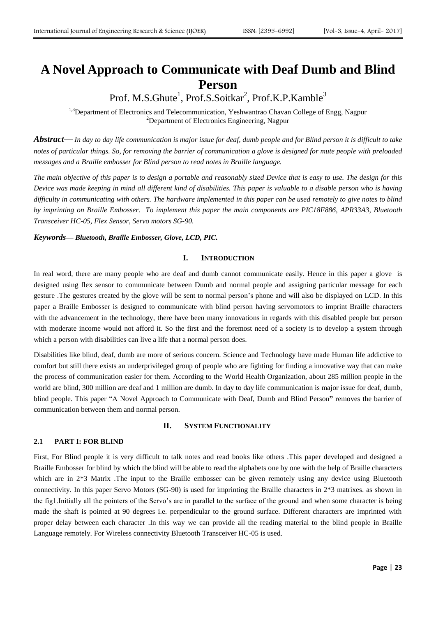# **A Novel Approach to Communicate with Deaf Dumb and Blind Person**

Prof. M.S.Ghute<sup>1</sup>, Prof.S.Soitkar<sup>2</sup>, Prof.K.P.Kamble<sup>3</sup>

<sup>1,3</sup>Department of Electronics and Telecommunication, Yeshwantrao Chavan College of Engg, Nagpur <sup>2</sup>Department of Electronics Engineering, Nagpur

**Abstract—** In day to day life communication is major issue for deaf, dumb people and for Blind person it is difficult to take notes of particular things. So, for removing the barrier of communication a glove is designed for mute people with preloaded *messages and a Braille embosser for Blind person to read notes in Braille language.*

The main objective of this paper is to design a portable and reasonably sized Device that is easy to use. The design for this Device was made keeping in mind all different kind of disabilities. This paper is valuable to a disable person who is having difficulty in communicating with others. The hardware implemented in this paper can be used remotely to give notes to blind *by imprinting on Braille Embosser. To implement this paper the main components are PIC18F886, APR33A3, Bluetooth Transceiver HC-05, Flex Sensor, Servo motors SG-90.*

*Keywords— Bluetooth, Braille Embosser, Glove, LCD, PIC.*

#### **I. INTRODUCTION**

In real word, there are many people who are deaf and dumb cannot communicate easily. Hence in this paper a glove is designed using flex sensor to communicate between Dumb and normal people and assigning particular message for each gesture .The gestures created by the glove will be sent to normal person's phone and will also be displayed on LCD. In this paper a Braille Embosser is designed to communicate with blind person having servomotors to imprint Braille characters with the advancement in the technology, there have been many innovations in regards with this disabled people but person with moderate income would not afford it. So the first and the foremost need of a society is to develop a system through which a person with disabilities can live a life that a normal person does.

Disabilities like blind, deaf, dumb are more of serious concern. Science and Technology have made Human life addictive to comfort but still there exists an underprivileged group of people who are fighting for finding a innovative way that can make the process of communication easier for them. According to the World Health Organization, about 285 million people in the world are blind, 300 million are deaf and 1 million are dumb. In day to day life communication is major issue for deaf, dumb, blind people. This paper "A Novel Approach to Communicate with Deaf, Dumb and Blind Person**"** removes the barrier of communication between them and normal person.

#### **II. SYSTEM FUNCTIONALITY**

#### **2.1 PART I: FOR BLIND**

First, For Blind people it is very difficult to talk notes and read books like others .This paper developed and designed a Braille Embosser for blind by which the blind will be able to read the alphabets one by one with the help of Braille characters which are in 2<sup>\*3</sup> Matrix .The input to the Braille embosser can be given remotely using any device using Bluetooth connectivity. In this paper Servo Motors (SG-90) is used for imprinting the Braille characters in 2\*3 matrixes. as shown in the fig1.Initially all the pointers of the Servo's are in parallel to the surface of the ground and when some character is being made the shaft is pointed at 90 degrees i.e. perpendicular to the ground surface. Different characters are imprinted with proper delay between each character .In this way we can provide all the reading material to the blind people in Braille Language remotely. For Wireless connectivity Bluetooth Transceiver HC-05 is used.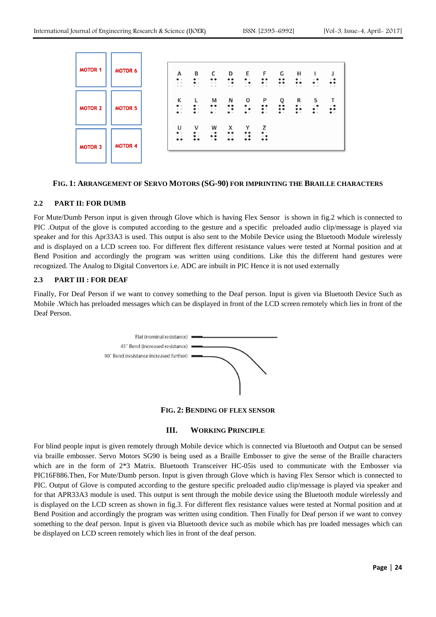| <b>MOTOR 1</b> | <b>MOTOR 6</b> | А<br>$\bullet$<br>0 <sup>o</sup><br>$O$ $O$              | В<br>$\bullet$<br>$\bullet$<br>$O$ $O$                   | c<br>$\bullet\bullet$<br>$O$ $O$<br>$O = O$              | D<br>$\bullet\bullet$<br>$\circ$ $\bullet$<br>$O$ $O$   | Е<br>$\bullet$<br>$\circ$ $\bullet$<br>$O$ $O$                       | F<br>$\bullet\bullet$<br>$\bullet$<br>$O$ $O$              | G<br>$\bullet\bullet$<br>$\bullet\; \bullet$<br>$O$ $O$   | н<br>$\bullet$<br>$\bullet\; \bullet$<br>$O$ $O$ | ı<br>$\circ$ $\bullet$<br>$\bullet$<br>0 <sub>0</sub> | J<br>$^{\circ}$ $^{\bullet}$<br>$\bullet\bullet$<br>0 <sub>0</sub> |
|----------------|----------------|----------------------------------------------------------|----------------------------------------------------------|----------------------------------------------------------|---------------------------------------------------------|----------------------------------------------------------------------|------------------------------------------------------------|-----------------------------------------------------------|--------------------------------------------------|-------------------------------------------------------|--------------------------------------------------------------------|
| <b>MOTOR 2</b> | <b>MOTOR 5</b> | к<br>$\bullet$<br>$\mathbb{O} - \mathbb{O}$<br>$\bullet$ | $\bullet$<br>$\bullet$ $\circ$<br>$\bullet$              | M<br>$\bullet\bullet$<br>$0 \quad 0$<br>$\bullet$        | N<br>$\bullet\bullet$<br>$\circ$ $\bullet$<br>$\bullet$ | O<br>$\bullet$<br>$\circ$ $\bullet$<br>$\bullet$                     | P<br>$\bullet\bullet$<br>$\bullet$<br>$\bullet$            | Q<br>$\bullet\bullet$<br>$\bullet\; \bullet$<br>$\bullet$ | R<br>$\bullet$<br>$\bullet\bullet$<br>$\bullet$  | S<br>$\circ$ $\bullet$<br>$\bullet$<br>$\bullet$      | т<br>$^{\circ}$ $^{\bullet}$<br>$\ddot{\phantom{a}}$               |
| <b>MOTOR 3</b> | <b>MOTOR 4</b> | U<br>$\bullet$<br>0 <sup>0</sup><br>$\bullet$            | v<br>$\bullet$ $\circ$<br>$\bullet$ $\circ$<br>$\bullet$ | W<br>$\circ$ $\bullet$<br>$\bullet$<br>$\circ$ $\bullet$ | x<br>$\bullet\bullet$<br>$0$ 0<br>$\bullet\bullet$      | Y<br>$\bullet\bullet$<br>$^{\circ}$ $^{\bullet}$<br>$\bullet\bullet$ | z<br>$\bullet$<br>$^{\circ}$ $\bullet$<br>$\bullet\bullet$ |                                                           |                                                  |                                                       |                                                                    |

## **FIG. 1: ARRANGEMENT OF SERVO MOTORS (SG-90) FOR IMPRINTING THE BRAILLE CHARACTERS**

#### **2.2 PART II: FOR DUMB**

For Mute/Dumb Person input is given through Glove which is having Flex Sensor is shown in fig.2 which is connected to PIC .Output of the glove is computed according to the gesture and a specific preloaded audio clip/message is played via speaker and for this Apr33A3 is used. This output is also sent to the Mobile Device using the Bluetooth Module wirelessly and is displayed on a LCD screen too. For different flex different resistance values were tested at Normal position and at Bend Position and accordingly the program was written using conditions. Like this the different hand gestures were recognized. The Analog to Digital Convertors i.e. ADC are inbuilt in PIC Hence it is not used externally

# **2.3 PART III : FOR DEAF**

Finally, For Deaf Person if we want to convey something to the Deaf person. Input is given via Bluetooth Device Such as Mobile .Which has preloaded messages which can be displayed in front of the LCD screen remotely which lies in front of the Deaf Person.



**FIG. 2: BENDING OF FLEX SENSOR**

# **III. WORKING PRINCIPLE**

For blind people input is given remotely through Mobile device which is connected via Bluetooth and Output can be sensed via braille embosser. Servo Motors SG90 is being used as a Braille Embosser to give the sense of the Braille characters which are in the form of 2<sup>\*3</sup> Matrix. Bluetooth Transceiver HC-05is used to communicate with the Embosser via PIC16F886.Then, For Mute/Dumb person. Input is given through Glove which is having Flex Sensor which is connected to PIC. Output of Glove is computed according to the gesture specific preloaded audio clip/message is played via speaker and for that APR33A3 module is used. This output is sent through the mobile device using the Bluetooth module wirelessly and is displayed on the LCD screen as shown in fig.3. For different flex resistance values were tested at Normal position and at Bend Position and accordingly the program was written using condition. Then Finally for Deaf person if we want to convey something to the deaf person. Input is given via Bluetooth device such as mobile which has pre loaded messages which can be displayed on LCD screen remotely which lies in front of the deaf person.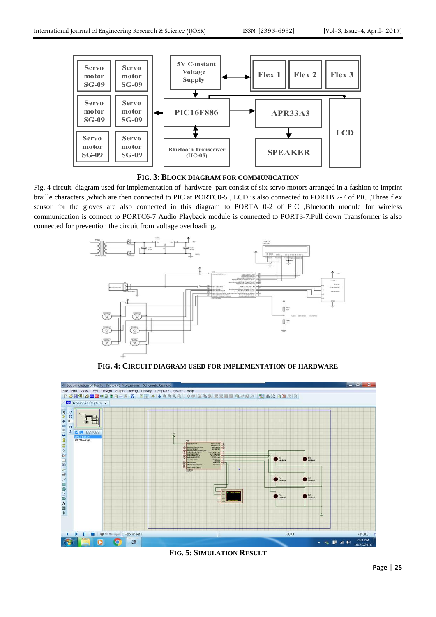

**FIG. 3: BLOCK DIAGRAM FOR COMMUNICATION**

Fig. 4 circuit diagram used for implementation of hardware part consist of six servo motors arranged in a fashion to imprint braille characters ,which are then connected to PIC at PORTC0-5 , LCD is also connected to PORTB 2-7 of PIC ,Three flex sensor for the gloves are also connected in this diagram to PORTA 0-2 of PIC ,Bluetooth module for wireless communication is connect to PORTC6-7 Audio Playback module is connected to PORT3-7.Pull down Transformer is also connected for prevention the circuit from voltage overloading.



**FIG. 4: CIRCUIT DIAGRAM USED FOR IMPLEMENTATION OF HARDWARE**



**FIG. 5: SIMULATION RESULT**